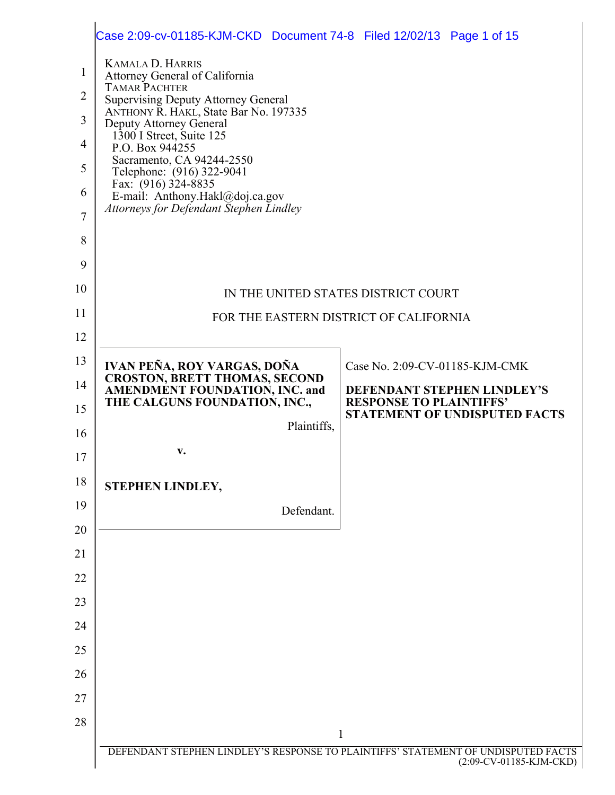|                | Case 2:09-cv-01185-KJM-CKD Document 74-8 Filed 12/02/13 Page 1 of 15                                                                   |                                                                        |  |
|----------------|----------------------------------------------------------------------------------------------------------------------------------------|------------------------------------------------------------------------|--|
| 1              | <b>KAMALA D. HARRIS</b>                                                                                                                |                                                                        |  |
| $\overline{2}$ | Attorney General of California<br><b>TAMAR PACHTER</b><br>Supervising Deputy Attorney General<br>ANTHONY R. HAKL, State Bar No. 197335 |                                                                        |  |
| 3              |                                                                                                                                        |                                                                        |  |
| $\overline{4}$ | Deputy Attorney General<br>1300 I Street, Suite 125                                                                                    |                                                                        |  |
| 5              | P.O. Box 944255<br>Sacramento, CA 94244-2550                                                                                           |                                                                        |  |
| 6              | Telephone: (916) 322-9041<br>Fax: $(916)$ 324-8835                                                                                     |                                                                        |  |
| 7              | E-mail: Anthony.Hakl@doj.ca.gov<br>Attorneys for Defendant Stephen Lindley                                                             |                                                                        |  |
| 8              |                                                                                                                                        |                                                                        |  |
| 9              |                                                                                                                                        |                                                                        |  |
| 10             | IN THE UNITED STATES DISTRICT COURT                                                                                                    |                                                                        |  |
| 11             | FOR THE EASTERN DISTRICT OF CALIFORNIA                                                                                                 |                                                                        |  |
| 12             |                                                                                                                                        |                                                                        |  |
| 13             | IVAN PEÑA, ROY VARGAS, DOÑA                                                                                                            | Case No. 2:09-CV-01185-KJM-CMK                                         |  |
| 14             | <b>CROSTON, BRETT THOMAS, SECOND</b><br><b>AMENDMENT FOUNDATION, INC. and</b>                                                          | DEFENDANT STEPHEN LINDLEY'S                                            |  |
| 15             | THE CALGUNS FOUNDATION, INC.,                                                                                                          | <b>RESPONSE TO PLAINTIFFS'</b><br><b>STATEMENT OF UNDISPUTED FACTS</b> |  |
| 16             | Plaintiffs,                                                                                                                            |                                                                        |  |
| 17             | v.                                                                                                                                     |                                                                        |  |
| 18             | STEPHEN LINDLEY,                                                                                                                       |                                                                        |  |
| 19             | Defendant.                                                                                                                             |                                                                        |  |
| 20             |                                                                                                                                        |                                                                        |  |
| 21             |                                                                                                                                        |                                                                        |  |
| 22             |                                                                                                                                        |                                                                        |  |
| 23             |                                                                                                                                        |                                                                        |  |
| 24             |                                                                                                                                        |                                                                        |  |
| 25             |                                                                                                                                        |                                                                        |  |
| 26             |                                                                                                                                        |                                                                        |  |
| 27             |                                                                                                                                        |                                                                        |  |
| 28             | 1                                                                                                                                      |                                                                        |  |
|                | DEFENDANT STEPHEN LINDLEY'S RESPONSE TO PLAINTIFFS' STATEMENT OF UNDISPUTED FACTS                                                      | (2:09-CV-01185-KJM-CKD)                                                |  |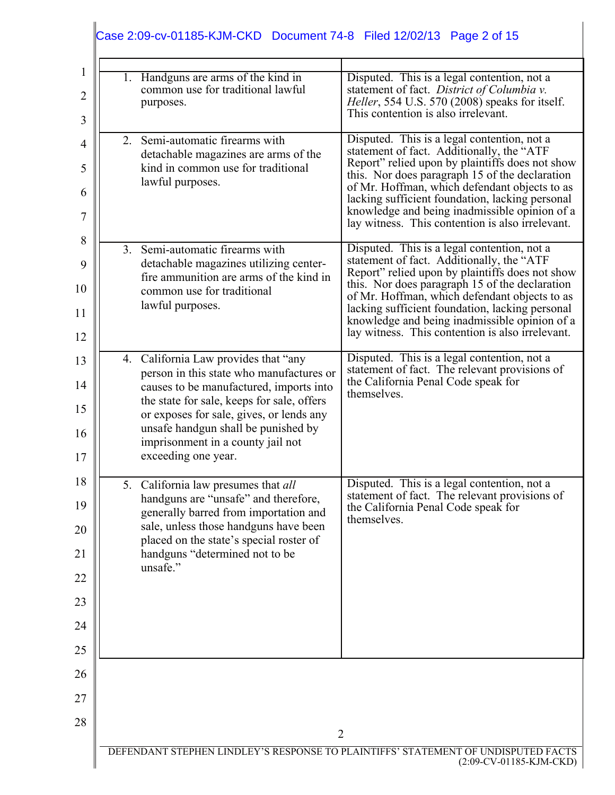## Case 2:09-cv-01185-KJM-CKD Document 74-8 Filed 12/02/13 Page 2 of 15

| 1. Handguns are arms of the kind in<br>purposes.                                     | common use for traditional lawful                                                                                                                                                                                                                         | Disputed. This is a legal contention, not a<br>statement of fact. District of Columbia v.<br><i>Heller</i> , 554 U.S. 570 (2008) speaks for itself.<br>This contention is also irrelevant.                                                                                                                                                                                                             |
|--------------------------------------------------------------------------------------|-----------------------------------------------------------------------------------------------------------------------------------------------------------------------------------------------------------------------------------------------------------|--------------------------------------------------------------------------------------------------------------------------------------------------------------------------------------------------------------------------------------------------------------------------------------------------------------------------------------------------------------------------------------------------------|
| 2. Semi-automatic firearms with<br>lawful purposes.                                  | detachable magazines are arms of the<br>kind in common use for traditional                                                                                                                                                                                | Disputed. This is a legal contention, not a<br>statement of fact. Additionally, the "ATF<br>Report" relied upon by plaintiffs does not show<br>this. Nor does paragraph 15 of the declaration<br>of Mr. Hoffman, which defendant objects to as<br>lacking sufficient foundation, lacking personal<br>knowledge and being inadmissible opinion of a<br>lay witness. This contention is also irrelevant. |
| Semi-automatic firearms with<br>3.<br>common use for traditional<br>lawful purposes. | detachable magazines utilizing center-<br>fire ammunition are arms of the kind in                                                                                                                                                                         | Disputed. This is a legal contention, not a<br>statement of fact. Additionally, the "ATF<br>Report" relied upon by plaintiffs does not show<br>this. Nor does paragraph 15 of the declaration<br>of Mr. Hoffman, which defendant objects to as<br>lacking sufficient foundation, lacking personal<br>knowledge and being inadmissible opinion of a<br>lay witness. This contention is also irrelevant. |
| 4. California Law provides that "any<br>exceeding one year.                          | person in this state who manufactures or<br>causes to be manufactured, imports into<br>the state for sale, keeps for sale, offers<br>or exposes for sale, gives, or lends any<br>unsafe handgun shall be punished by<br>imprisonment in a county jail not | Disputed. This is a legal contention, not a<br>statement of fact. The relevant provisions of<br>the California Penal Code speak for<br>themselves.                                                                                                                                                                                                                                                     |
| 5. California law presumes that all<br>handguns "determined not to be<br>unsafe."    | handguns are "unsafe" and therefore,<br>generally barred from importation and<br>sale, unless those handguns have been<br>placed on the state's special roster of                                                                                         | Disputed. This is a legal contention, not a<br>statement of fact. The relevant provisions of<br>the California Penal Code speak for<br>themselves.                                                                                                                                                                                                                                                     |
|                                                                                      |                                                                                                                                                                                                                                                           |                                                                                                                                                                                                                                                                                                                                                                                                        |
|                                                                                      |                                                                                                                                                                                                                                                           |                                                                                                                                                                                                                                                                                                                                                                                                        |
|                                                                                      |                                                                                                                                                                                                                                                           |                                                                                                                                                                                                                                                                                                                                                                                                        |
|                                                                                      |                                                                                                                                                                                                                                                           | $\overline{2}$                                                                                                                                                                                                                                                                                                                                                                                         |
|                                                                                      |                                                                                                                                                                                                                                                           | DEFENDANT STEPHEN LINDLEY'S RESPONSE TO PLAINTIFFS' STATEMENT OF UNDISPUTED FACTS<br>(2:09-CV-01185-KJM-CKD)                                                                                                                                                                                                                                                                                           |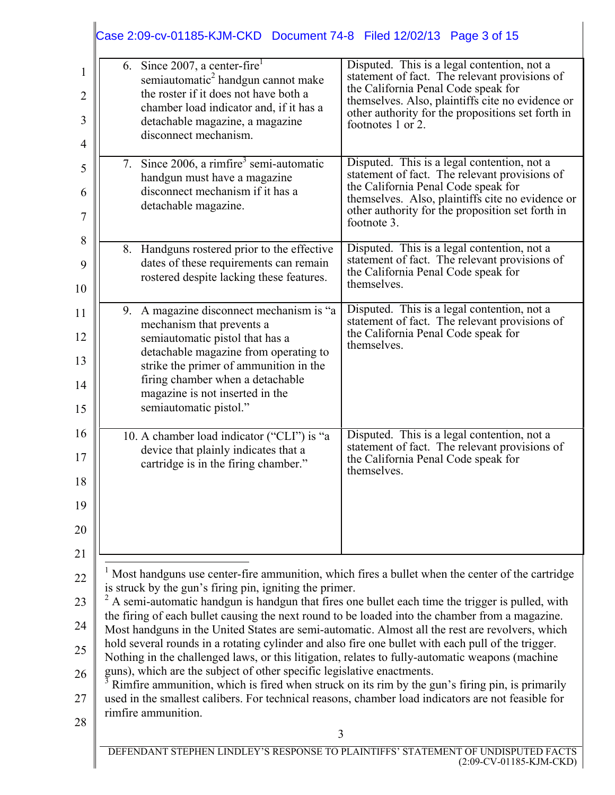|                                              | Case 2:09-cv-01185-KJM-CKD Document 74-8 Filed 12/02/13 Page 3 of 15                                                                                                                                                                                                                                                                                                                                                                                                                                                                                                                                                                                                                                                                                                                                                                                                                                                                                                                   |                                                                                                                                                                                                                                                                   |
|----------------------------------------------|----------------------------------------------------------------------------------------------------------------------------------------------------------------------------------------------------------------------------------------------------------------------------------------------------------------------------------------------------------------------------------------------------------------------------------------------------------------------------------------------------------------------------------------------------------------------------------------------------------------------------------------------------------------------------------------------------------------------------------------------------------------------------------------------------------------------------------------------------------------------------------------------------------------------------------------------------------------------------------------|-------------------------------------------------------------------------------------------------------------------------------------------------------------------------------------------------------------------------------------------------------------------|
| 1<br>$\overline{2}$<br>3<br>4                | 6. Since 2007, a center-fire <sup>1</sup><br>semiautomatic <sup>2</sup> handgun cannot make<br>the roster if it does not have both a<br>chamber load indicator and, if it has a<br>detachable magazine, a magazine<br>disconnect mechanism.                                                                                                                                                                                                                                                                                                                                                                                                                                                                                                                                                                                                                                                                                                                                            | Disputed. This is a legal contention, not a<br>statement of fact. The relevant provisions of<br>the California Penal Code speak for<br>themselves. Also, plaintiffs cite no evidence or<br>other authority for the propositions set forth in<br>footnotes 1 or 2. |
| 5<br>6<br>7                                  | 7. Since 2006, a rimfire <sup>3</sup> semi-automatic<br>handgun must have a magazine<br>disconnect mechanism if it has a<br>detachable magazine.                                                                                                                                                                                                                                                                                                                                                                                                                                                                                                                                                                                                                                                                                                                                                                                                                                       | Disputed. This is a legal contention, not a<br>statement of fact. The relevant provisions of<br>the California Penal Code speak for<br>themselves. Also, plaintiffs cite no evidence or<br>other authority for the proposition set forth in<br>footnote 3.        |
| 8<br>9<br>10                                 | 8. Handguns rostered prior to the effective<br>dates of these requirements can remain<br>rostered despite lacking these features.                                                                                                                                                                                                                                                                                                                                                                                                                                                                                                                                                                                                                                                                                                                                                                                                                                                      | Disputed. This is a legal contention, not a<br>statement of fact. The relevant provisions of<br>the California Penal Code speak for<br>themselves.                                                                                                                |
| 11<br>12<br>13<br>14<br>15                   | 9. A magazine disconnect mechanism is "a<br>mechanism that prevents a<br>semiautomatic pistol that has a<br>detachable magazine from operating to<br>strike the primer of ammunition in the<br>firing chamber when a detachable<br>magazine is not inserted in the<br>semiautomatic pistol."                                                                                                                                                                                                                                                                                                                                                                                                                                                                                                                                                                                                                                                                                           | Disputed. This is a legal contention, not a<br>statement of fact. The relevant provisions of<br>the California Penal Code speak for<br>themselves.                                                                                                                |
| 16<br>17<br>18<br>19<br>20                   | 10. A chamber load indicator ("CLI") is "a<br>device that plainly indicates that a<br>cartridge is in the firing chamber."                                                                                                                                                                                                                                                                                                                                                                                                                                                                                                                                                                                                                                                                                                                                                                                                                                                             | Disputed. This is a legal contention, not a<br>statement of fact. The relevant provisions of<br>the California Penal Code speak for<br>themselves.                                                                                                                |
| 21<br>22<br>23<br>24<br>25<br>26<br>27<br>28 | Most handguns use center-fire ammunition, which fires a bullet when the center of the cartridge<br>is struck by the gun's firing pin, igniting the primer.<br>A semi-automatic handgun is handgun that fires one bullet each time the trigger is pulled, with<br>the firing of each bullet causing the next round to be loaded into the chamber from a magazine.<br>Most handguns in the United States are semi-automatic. Almost all the rest are revolvers, which<br>hold several rounds in a rotating cylinder and also fire one bullet with each pull of the trigger.<br>Nothing in the challenged laws, or this litigation, relates to fully-automatic weapons (machine<br>guns), which are the subject of other specific legislative enactments.<br>Rimfire ammunition, which is fired when struck on its rim by the gun's firing pin, is primarily<br>used in the smallest calibers. For technical reasons, chamber load indicators are not feasible for<br>rimfire ammunition. |                                                                                                                                                                                                                                                                   |
|                                              | 3<br>DEFENDANT STEPHEN LINDLEY'S RESPONSE TO PLAINTIFFS' STATEMENT OF UNDISPUTED FACTS                                                                                                                                                                                                                                                                                                                                                                                                                                                                                                                                                                                                                                                                                                                                                                                                                                                                                                 | $(2:09$ -CV-01185-KJM-CKD)                                                                                                                                                                                                                                        |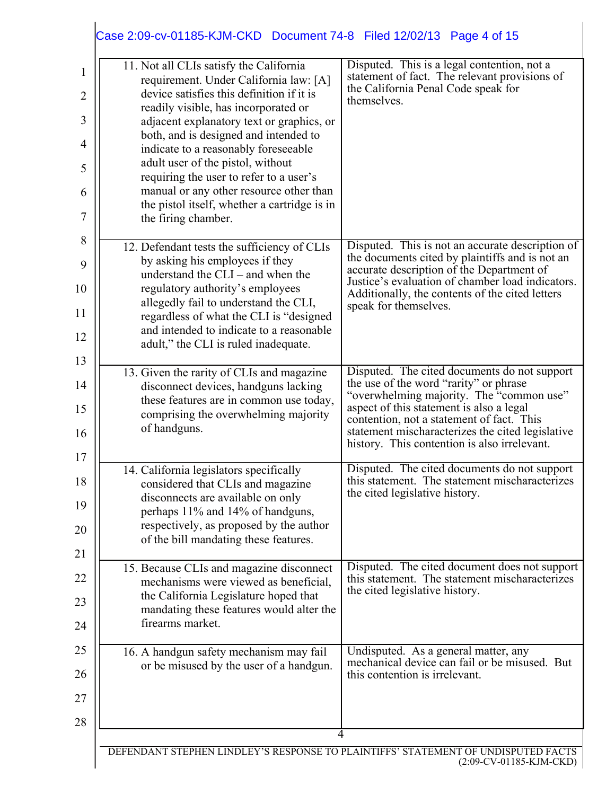|                                 | Case 2:09-cv-01185-KJM-CKD  Document 74-8  Filed 12/02/13  Page 4 of 15                                                                                                                                                                                                                                                                                                                                                                                                                                |                                                                                                                                                                                                                                                                                                                                 |
|---------------------------------|--------------------------------------------------------------------------------------------------------------------------------------------------------------------------------------------------------------------------------------------------------------------------------------------------------------------------------------------------------------------------------------------------------------------------------------------------------------------------------------------------------|---------------------------------------------------------------------------------------------------------------------------------------------------------------------------------------------------------------------------------------------------------------------------------------------------------------------------------|
| 1<br>2<br>3<br>4<br>5<br>6<br>7 | 11. Not all CLIs satisfy the California<br>requirement. Under California law: [A]<br>device satisfies this definition if it is<br>readily visible, has incorporated or<br>adjacent explanatory text or graphics, or<br>both, and is designed and intended to<br>indicate to a reasonably foreseeable<br>adult user of the pistol, without<br>requiring the user to refer to a user's<br>manual or any other resource other than<br>the pistol itself, whether a cartridge is in<br>the firing chamber. | Disputed. This is a legal contention, not a<br>statement of fact. The relevant provisions of<br>the California Penal Code speak for<br>themselves.                                                                                                                                                                              |
| 8<br>9<br>10<br>11<br>12<br>13  | 12. Defendant tests the sufficiency of CLIs<br>by asking his employees if they<br>understand the $CLI$ – and when the<br>regulatory authority's employees<br>allegedly fail to understand the CLI,<br>regardless of what the CLI is "designed"<br>and intended to indicate to a reasonable<br>adult," the CLI is ruled inadequate.                                                                                                                                                                     | Disputed. This is not an accurate description of<br>the documents cited by plaintiffs and is not an<br>accurate description of the Department of<br>Justice's evaluation of chamber load indicators.<br>Additionally, the contents of the cited letters<br>speak for themselves.                                                |
| 14<br>15<br>16<br>17            | 13. Given the rarity of CLIs and magazine<br>disconnect devices, handguns lacking<br>these features are in common use today,<br>comprising the overwhelming majority<br>of handguns.                                                                                                                                                                                                                                                                                                                   | Disputed. The cited documents do not support<br>the use of the word "rarity" or phrase<br>"overwhelming majority. The "common use"<br>aspect of this statement is also a legal<br>contention, not a statement of fact. This<br>statement mischaracterizes the cited legislative<br>history. This contention is also irrelevant. |
| 18<br>19<br>20<br>21            | 14. California legislators specifically<br>considered that CLIs and magazine<br>disconnects are available on only<br>perhaps 11% and 14% of handguns,<br>respectively, as proposed by the author<br>of the bill mandating these features.                                                                                                                                                                                                                                                              | The cited documents do not support<br>Disputed.<br>this statement. The statement mischaracterizes<br>the cited legislative history.                                                                                                                                                                                             |
| 22<br>23<br>24                  | 15. Because CLIs and magazine disconnect<br>mechanisms were viewed as beneficial.<br>the California Legislature hoped that<br>mandating these features would alter the<br>firearms market.                                                                                                                                                                                                                                                                                                             | Disputed. The cited document does not support<br>this statement. The statement mischaracterizes<br>the cited legislative history.                                                                                                                                                                                               |
| 25<br>26<br>27<br>28            | 16. A handgun safety mechanism may fail<br>or be misused by the user of a handgun.                                                                                                                                                                                                                                                                                                                                                                                                                     | Undisputed. As a general matter, any<br>mechanical device can fail or be misused. But<br>this contention is irrelevant.                                                                                                                                                                                                         |
|                                 |                                                                                                                                                                                                                                                                                                                                                                                                                                                                                                        |                                                                                                                                                                                                                                                                                                                                 |
|                                 |                                                                                                                                                                                                                                                                                                                                                                                                                                                                                                        | DEFENDANT STEPHEN LINDLEY'S RESPONSE TO PLAINTIFFS' STATEMENT OF UNDISPUTED FACTS<br>$(2:09$ -CV-01185-KJM-CKD)                                                                                                                                                                                                                 |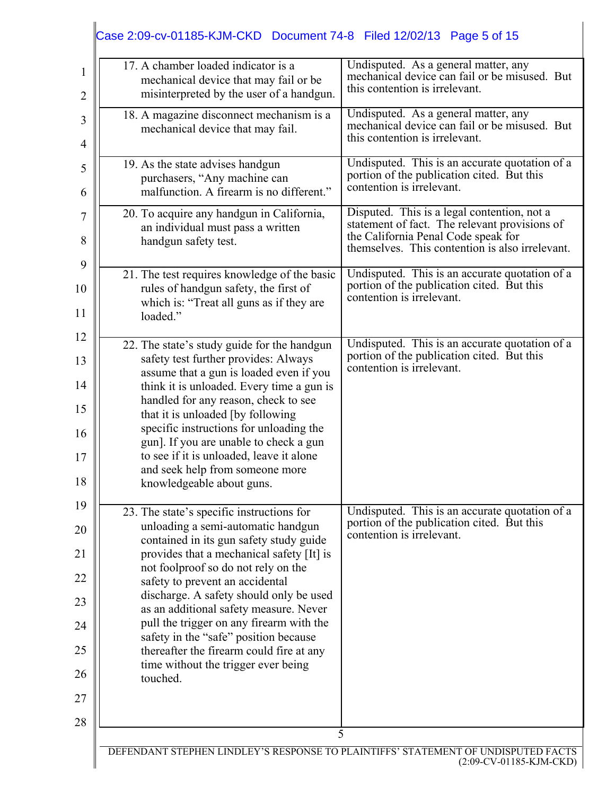| 17. A chamber loaded indicator is a<br>mechanical device that may fail or be<br>misinterpreted by the user of a handgun.                                                                                                                                                                                                                                                                                                                                                                                                   | Undisputed. As a general matter, any<br>mechanical device can fail or be misused. But<br>this contention is irrelevant.                                                                |
|----------------------------------------------------------------------------------------------------------------------------------------------------------------------------------------------------------------------------------------------------------------------------------------------------------------------------------------------------------------------------------------------------------------------------------------------------------------------------------------------------------------------------|----------------------------------------------------------------------------------------------------------------------------------------------------------------------------------------|
| 18. A magazine disconnect mechanism is a<br>mechanical device that may fail.                                                                                                                                                                                                                                                                                                                                                                                                                                               | Undisputed. As a general matter, any<br>mechanical device can fail or be misused. But<br>this contention is irrelevant.                                                                |
| 19. As the state advises handgun<br>purchasers, "Any machine can<br>malfunction. A firearm is no different."                                                                                                                                                                                                                                                                                                                                                                                                               | Undisputed. This is an accurate quotation of a<br>portion of the publication cited. But this<br>contention is irrelevant.                                                              |
| 20. To acquire any handgun in California,<br>an individual must pass a written<br>handgun safety test.                                                                                                                                                                                                                                                                                                                                                                                                                     | Disputed. This is a legal contention, not a<br>statement of fact. The relevant provisions of<br>the California Penal Code speak for<br>themselves. This contention is also irrelevant. |
| 21. The test requires knowledge of the basic<br>rules of handgun safety, the first of<br>which is: "Treat all guns as if they are<br>loaded."                                                                                                                                                                                                                                                                                                                                                                              | Undisputed. This is an accurate quotation of a<br>portion of the publication cited. But this<br>contention is irrelevant.                                                              |
| 22. The state's study guide for the handgun<br>safety test further provides: Always<br>assume that a gun is loaded even if you<br>think it is unloaded. Every time a gun is<br>handled for any reason, check to see<br>that it is unloaded [by following<br>specific instructions for unloading the<br>gun]. If you are unable to check a gun<br>to see if it is unloaded, leave it alone<br>and seek help from someone more<br>knowledgeable about guns.                                                                  | Undisputed. This is an accurate quotation of a<br>portion of the publication cited. But this<br>contention is irrelevant.                                                              |
| 23. The state's specific instructions for<br>unloading a semi-automatic handgun<br>contained in its gun safety study guide<br>provides that a mechanical safety [It] is<br>not foolproof so do not rely on the<br>safety to prevent an accidental<br>discharge. A safety should only be used<br>as an additional safety measure. Never<br>pull the trigger on any firearm with the<br>safety in the "safe" position because<br>thereafter the firearm could fire at any<br>time without the trigger ever being<br>touched. | Undisputed. This is an accurate quotation of a<br>portion of the publication cited. But this<br>contention is irrelevant.                                                              |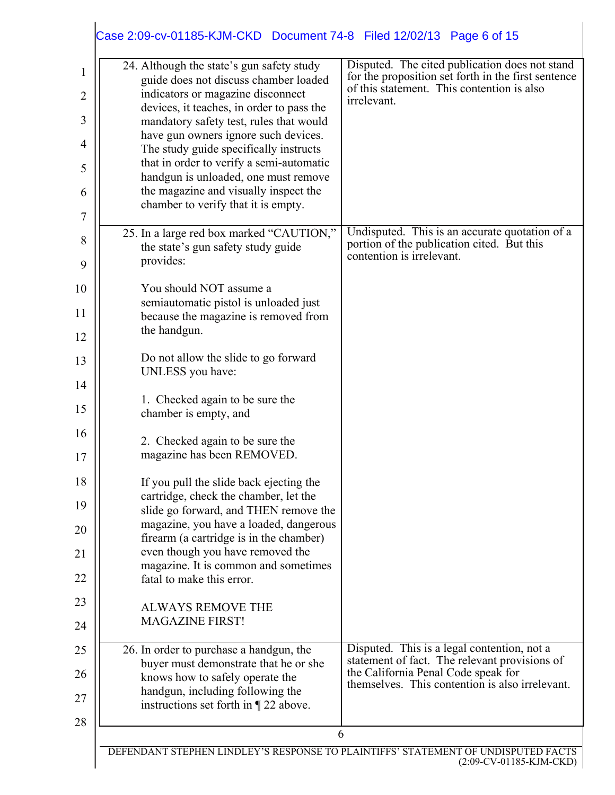|                | Case 2:09-cv-01185-KJM-CKD Document 74-8 Filed 12/02/13 Page 6 of 15               |                                                                                                                                                     |
|----------------|------------------------------------------------------------------------------------|-----------------------------------------------------------------------------------------------------------------------------------------------------|
| 1              | 24. Although the state's gun safety study<br>guide does not discuss chamber loaded | Disputed. The cited publication does not stand<br>for the proposition set forth in the first sentence<br>of this statement. This contention is also |
| $\overline{c}$ | indicators or magazine disconnect<br>devices, it teaches, in order to pass the     | irrelevant.                                                                                                                                         |
| 3              | mandatory safety test, rules that would                                            |                                                                                                                                                     |
| 4              | have gun owners ignore such devices.                                               |                                                                                                                                                     |
|                | The study guide specifically instructs<br>that in order to verify a semi-automatic |                                                                                                                                                     |
| 5              | handgun is unloaded, one must remove                                               |                                                                                                                                                     |
| 6              | the magazine and visually inspect the                                              |                                                                                                                                                     |
| 7              | chamber to verify that it is empty.                                                |                                                                                                                                                     |
| 8              | 25. In a large red box marked "CAUTION,"                                           | Undisputed. This is an accurate quotation of a                                                                                                      |
|                | the state's gun safety study guide                                                 | portion of the publication cited. But this<br>contention is irrelevant.                                                                             |
| 9              | provides:                                                                          |                                                                                                                                                     |
| 10             | You should NOT assume a                                                            |                                                                                                                                                     |
| 11             | semiautomatic pistol is unloaded just<br>because the magazine is removed from      |                                                                                                                                                     |
| 12             | the handgun.                                                                       |                                                                                                                                                     |
|                |                                                                                    |                                                                                                                                                     |
| 13             | Do not allow the slide to go forward<br>UNLESS you have:                           |                                                                                                                                                     |
| 14             |                                                                                    |                                                                                                                                                     |
| 15             | 1. Checked again to be sure the                                                    |                                                                                                                                                     |
|                | chamber is empty, and                                                              |                                                                                                                                                     |
| 16             | 2. Checked again to be sure the                                                    |                                                                                                                                                     |
| 17             | magazine has been REMOVED.                                                         |                                                                                                                                                     |
| 18             | If you pull the slide back ejecting the                                            |                                                                                                                                                     |
| 19             | cartridge, check the chamber, let the                                              |                                                                                                                                                     |
|                | slide go forward, and THEN remove the<br>magazine, you have a loaded, dangerous    |                                                                                                                                                     |
| 20             | firearm (a cartridge is in the chamber)                                            |                                                                                                                                                     |
| 21             | even though you have removed the                                                   |                                                                                                                                                     |
| 22             | magazine. It is common and sometimes<br>fatal to make this error.                  |                                                                                                                                                     |
|                |                                                                                    |                                                                                                                                                     |
| 23             | <b>ALWAYS REMOVE THE</b>                                                           |                                                                                                                                                     |
| 24             | <b>MAGAZINE FIRST!</b>                                                             |                                                                                                                                                     |
| 25             | 26. In order to purchase a handgun, the                                            | Disputed. This is a legal contention, not a                                                                                                         |
| 26             | buyer must demonstrate that he or she                                              | statement of fact. The relevant provisions of                                                                                                       |
|                | knows how to safely operate the<br>handgun, including following the                | the California Penal Code speak for<br>themselves. This contention is also irrelevant.                                                              |
| 27             | instructions set forth in $\P$ 22 above.                                           |                                                                                                                                                     |
| 28             |                                                                                    |                                                                                                                                                     |
|                | 6                                                                                  | DEFENDANT STEPHEN LINDLEY'S RESPONSE TO PLAINTIFFS' STATEMENT OF UNDISPUTED FACTS                                                                   |
|                |                                                                                    | (2:09-CV-01185-KJM-CKD)                                                                                                                             |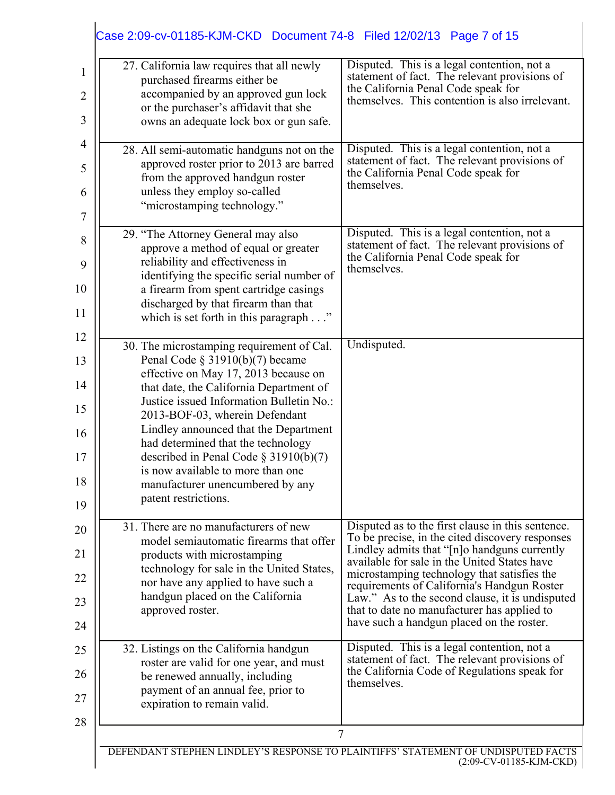| 27. California law requires that all newly<br>purchased firearms either be<br>accompanied by an approved gun lock<br>or the purchaser's affidavit that she<br>owns an adequate lock box or gun safe.                                                                                                                                                                                                                                                                         | Disputed. This is a legal contention, not a<br>statement of fact. The relevant provisions of<br>the California Penal Code speak for<br>themselves. This contention is also irrelevant.                                                                                                                                                                                                                                                            |
|------------------------------------------------------------------------------------------------------------------------------------------------------------------------------------------------------------------------------------------------------------------------------------------------------------------------------------------------------------------------------------------------------------------------------------------------------------------------------|---------------------------------------------------------------------------------------------------------------------------------------------------------------------------------------------------------------------------------------------------------------------------------------------------------------------------------------------------------------------------------------------------------------------------------------------------|
| 28. All semi-automatic handguns not on the<br>approved roster prior to 2013 are barred<br>from the approved handgun roster<br>unless they employ so-called<br>"microstamping technology."                                                                                                                                                                                                                                                                                    | Disputed. This is a legal contention, not a<br>statement of fact. The relevant provisions of<br>the California Penal Code speak for<br>themselves.                                                                                                                                                                                                                                                                                                |
| 29. "The Attorney General may also<br>approve a method of equal or greater<br>reliability and effectiveness in<br>identifying the specific serial number of<br>a firearm from spent cartridge casings<br>discharged by that firearm than that<br>which is set forth in this paragraph"                                                                                                                                                                                       | Disputed. This is a legal contention, not a<br>statement of fact. The relevant provisions of<br>the California Penal Code speak for<br>themselves.                                                                                                                                                                                                                                                                                                |
| 30. The microstamping requirement of Cal.<br>Penal Code $\S$ 31910(b)(7) became<br>effective on May 17, 2013 because on<br>that date, the California Department of<br>Justice issued Information Bulletin No.:<br>2013-BOF-03, wherein Defendant<br>Lindley announced that the Department<br>had determined that the technology<br>described in Penal Code $\S 31910(b)(7)$<br>is now available to more than one<br>manufacturer unencumbered by any<br>patent restrictions. | Undisputed.                                                                                                                                                                                                                                                                                                                                                                                                                                       |
| 31. There are no manufacturers of new<br>model semiautomatic firearms that offer<br>products with microstamping<br>technology for sale in the United States,<br>nor have any applied to have such a<br>handgun placed on the California<br>approved roster.                                                                                                                                                                                                                  | Disputed as to the first clause in this sentence.<br>To be precise, in the cited discovery responses<br>Lindley admits that "[n]o handguns currently<br>available for sale in the United States have<br>microstamping technology that satisfies the<br>requirements of California's Handgun Roster<br>Law." As to the second clause, it is undisputed<br>that to date no manufacturer has applied to<br>have such a handgun placed on the roster. |
| 32. Listings on the California handgun<br>roster are valid for one year, and must<br>be renewed annually, including<br>payment of an annual fee, prior to<br>expiration to remain valid.                                                                                                                                                                                                                                                                                     | Disputed. This is a legal contention, not a<br>statement of fact. The relevant provisions of<br>the California Code of Regulations speak for<br>themselves.                                                                                                                                                                                                                                                                                       |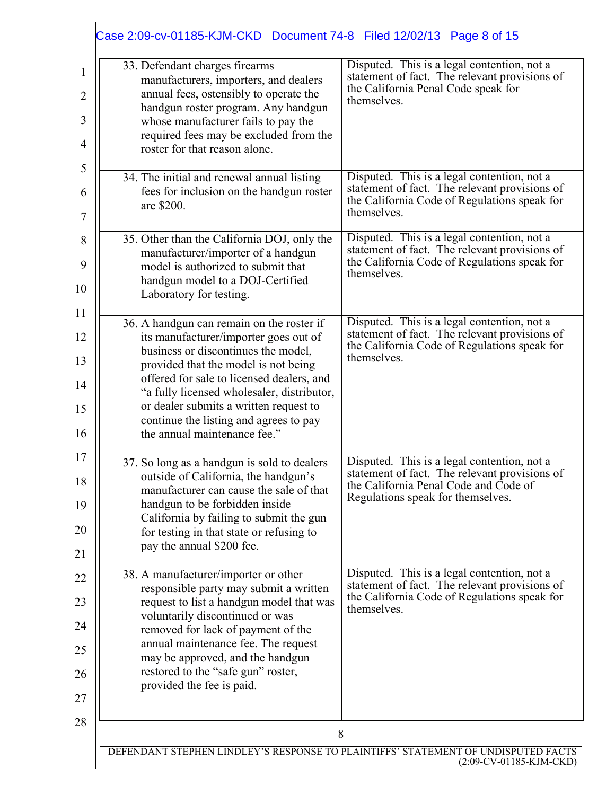|                                                                                                                                                                                        | 33. Defendant charges firearms<br>manufacturers, importers, and dealers<br>annual fees, ostensibly to operate the<br>handgun roster program. Any handgun<br>whose manufacturer fails to pay the<br>required fees may be excluded from the<br>roster for that reason alone.                                                                                                       | Disputed. This is a legal contention, not a<br>statement of fact. The relevant provisions of<br>the California Penal Code speak for<br>themselves.                         |
|----------------------------------------------------------------------------------------------------------------------------------------------------------------------------------------|----------------------------------------------------------------------------------------------------------------------------------------------------------------------------------------------------------------------------------------------------------------------------------------------------------------------------------------------------------------------------------|----------------------------------------------------------------------------------------------------------------------------------------------------------------------------|
|                                                                                                                                                                                        | 34. The initial and renewal annual listing<br>fees for inclusion on the handgun roster<br>are \$200.                                                                                                                                                                                                                                                                             | Disputed. This is a legal contention, not a<br>statement of fact. The relevant provisions of<br>the California Code of Regulations speak for<br>themselves.                |
| 35. Other than the California DOJ, only the<br>manufacturer/importer of a handgun<br>model is authorized to submit that<br>handgun model to a DOJ-Certified<br>Laboratory for testing. | Disputed. This is a legal contention, not a<br>statement of fact. The relevant provisions of<br>the California Code of Regulations speak for<br>themselves.                                                                                                                                                                                                                      |                                                                                                                                                                            |
|                                                                                                                                                                                        | 36. A handgun can remain on the roster if<br>its manufacturer/importer goes out of<br>business or discontinues the model,<br>provided that the model is not being<br>offered for sale to licensed dealers, and<br>"a fully licensed wholesaler, distributor,<br>or dealer submits a written request to<br>continue the listing and agrees to pay<br>the annual maintenance fee." | Disputed. This is a legal contention, not a<br>statement of fact. The relevant provisions of<br>the California Code of Regulations speak for<br>themselves.                |
|                                                                                                                                                                                        | 37. So long as a handgun is sold to dealers<br>outside of California, the handgun's<br>manufacturer can cause the sale of that<br>handgun to be forbidden inside<br>California by failing to submit the gun<br>for testing in that state or refusing to<br>pay the annual \$200 fee.                                                                                             | Disputed. This is a legal contention, not a<br>statement of fact. The relevant provisions of<br>the California Penal Code and Code of<br>Regulations speak for themselves. |
|                                                                                                                                                                                        | 38. A manufacturer/importer or other<br>responsible party may submit a written<br>request to list a handgun model that was<br>voluntarily discontinued or was<br>removed for lack of payment of the<br>annual maintenance fee. The request<br>may be approved, and the handgun<br>restored to the "safe gun" roster,<br>provided the fee is paid.                                | Disputed. This is a legal contention, not a<br>statement of fact. The relevant provisions of<br>the California Code of Regulations speak for<br>themselves.                |
|                                                                                                                                                                                        |                                                                                                                                                                                                                                                                                                                                                                                  |                                                                                                                                                                            |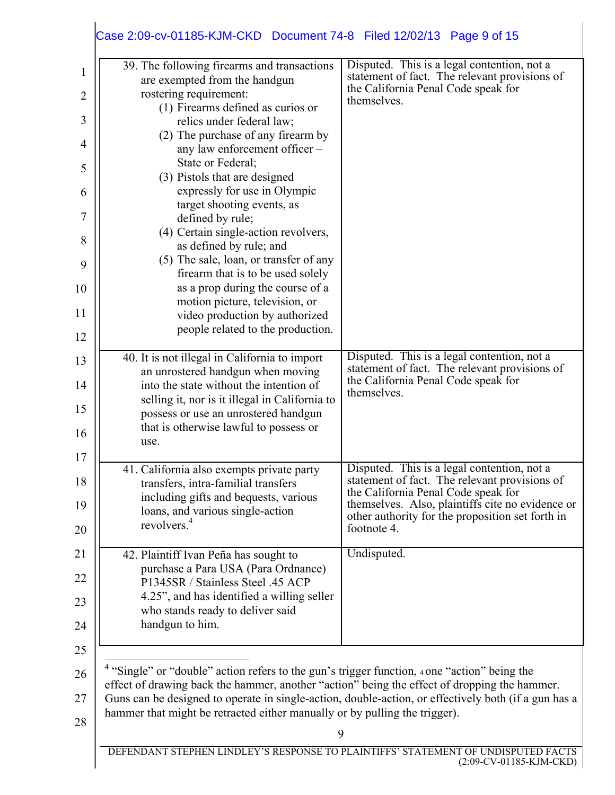|          | Case 2:09-cv-01185-KJM-CKD Document 74-8 Filed 12/02/13 Page 9 of 15                                                                                                                                    |                                                                                                                 |
|----------|---------------------------------------------------------------------------------------------------------------------------------------------------------------------------------------------------------|-----------------------------------------------------------------------------------------------------------------|
| 1        | 39. The following firearms and transactions<br>are exempted from the handgun                                                                                                                            | Disputed. This is a legal contention, not a<br>statement of fact. The relevant provisions of                    |
| 2        | rostering requirement:<br>(1) Firearms defined as curios or                                                                                                                                             | the California Penal Code speak for<br>themselves.                                                              |
| 3        | relics under federal law;                                                                                                                                                                               |                                                                                                                 |
| 4        | (2) The purchase of any firearm by<br>any law enforcement officer -                                                                                                                                     |                                                                                                                 |
| 5        | State or Federal;<br>(3) Pistols that are designed                                                                                                                                                      |                                                                                                                 |
| 6        | expressly for use in Olympic                                                                                                                                                                            |                                                                                                                 |
| 7        | target shooting events, as<br>defined by rule;                                                                                                                                                          |                                                                                                                 |
| 8        | (4) Certain single-action revolvers,                                                                                                                                                                    |                                                                                                                 |
|          | as defined by rule; and<br>(5) The sale, loan, or transfer of any                                                                                                                                       |                                                                                                                 |
| 9        | firearm that is to be used solely<br>as a prop during the course of a                                                                                                                                   |                                                                                                                 |
| 10<br>11 | motion picture, television, or                                                                                                                                                                          |                                                                                                                 |
|          | video production by authorized<br>people related to the production.                                                                                                                                     |                                                                                                                 |
| 12       |                                                                                                                                                                                                         |                                                                                                                 |
| 13       | 40. It is not illegal in California to import<br>an unrostered handgun when moving                                                                                                                      | Disputed. This is a legal contention, not a<br>statement of fact. The relevant provisions of                    |
| 14       | into the state without the intention of                                                                                                                                                                 | the California Penal Code speak for<br>themselves.                                                              |
| 15       | selling it, nor is it illegal in California to                                                                                                                                                          |                                                                                                                 |
|          | possess or use an unrostered handgun<br>that is otherwise lawful to possess or                                                                                                                          |                                                                                                                 |
| 16       | use.                                                                                                                                                                                                    |                                                                                                                 |
| 17       | 41. California also exempts private party                                                                                                                                                               | Disputed. This is a legal contention, not a                                                                     |
| 18       | transfers, intra-familial transfers                                                                                                                                                                     | statement of fact. The relevant provisions of<br>the California Penal Code speak for                            |
| 19       | including gifts and bequests, various<br>loans, and various single-action                                                                                                                               | themselves. Also, plaintiffs cite no evidence or                                                                |
| 20       | revolvers. <sup>4</sup>                                                                                                                                                                                 | other authority for the proposition set forth in<br>footnote 4.                                                 |
| 21       | 42. Plaintiff Ivan Peña has sought to                                                                                                                                                                   | Undisputed.                                                                                                     |
| 22       | purchase a Para USA (Para Ordnance)<br>P1345SR / Stainless Steel .45 ACP                                                                                                                                |                                                                                                                 |
| 23       | 4.25", and has identified a willing seller                                                                                                                                                              |                                                                                                                 |
|          | who stands ready to deliver said                                                                                                                                                                        |                                                                                                                 |
| 24       | handgun to him.                                                                                                                                                                                         |                                                                                                                 |
| 25       |                                                                                                                                                                                                         |                                                                                                                 |
| 26       | <sup>4</sup> "Single" or "double" action refers to the gun's trigger function, 4 one "action" being the<br>effect of drawing back the hammer, another "action" being the effect of dropping the hammer. |                                                                                                                 |
| 27       |                                                                                                                                                                                                         | Guns can be designed to operate in single-action, double-action, or effectively both (if a gun has a            |
| 28       | hammer that might be retracted either manually or by pulling the trigger).                                                                                                                              |                                                                                                                 |
|          | 9                                                                                                                                                                                                       |                                                                                                                 |
|          |                                                                                                                                                                                                         | DEFENDANT STEPHEN LINDLEY'S RESPONSE TO PLAINTIFFS' STATEMENT OF UNDISPUTED FACTS<br>$(2:09$ -CV-01185-KJM-CKD) |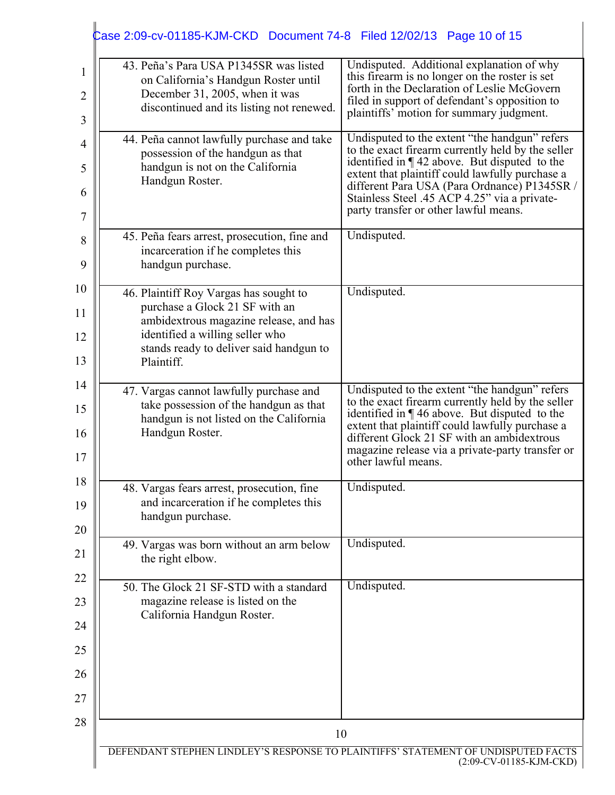| 43. Peña's Para USA P1345SR was listed<br>on California's Handgun Roster until<br>December 31, 2005, when it was<br>discontinued and its listing not renewed.                                                  | Undisputed. Additional explanation of why<br>this firearm is no longer on the roster is set<br>forth in the Declaration of Leslie McGovern<br>filed in support of defendant's opposition to<br>plaintiffs' motion for summary judgment.                                                                                                            |
|----------------------------------------------------------------------------------------------------------------------------------------------------------------------------------------------------------------|----------------------------------------------------------------------------------------------------------------------------------------------------------------------------------------------------------------------------------------------------------------------------------------------------------------------------------------------------|
| 44. Peña cannot lawfully purchase and take<br>possession of the handgun as that<br>handgun is not on the California<br>Handgun Roster.                                                                         | Undisputed to the extent "the handgun" refers<br>to the exact firearm currently held by the seller<br>identified in $\P$ 42 above. But disputed to the<br>extent that plaintiff could lawfully purchase a<br>different Para USA (Para Ordnance) P1345SR /<br>Stainless Steel .45 ACP 4.25" via a private-<br>party transfer or other lawful means. |
| 45. Peña fears arrest, prosecution, fine and<br>incarceration if he completes this<br>handgun purchase.                                                                                                        | Undisputed.                                                                                                                                                                                                                                                                                                                                        |
| 46. Plaintiff Roy Vargas has sought to<br>purchase a Glock 21 SF with an<br>ambidextrous magazine release, and has<br>identified a willing seller who<br>stands ready to deliver said handgun to<br>Plaintiff. | Undisputed.                                                                                                                                                                                                                                                                                                                                        |
| 47. Vargas cannot lawfully purchase and<br>take possession of the handgun as that<br>handgun is not listed on the California<br>Handgun Roster.                                                                | Undisputed to the extent "the handgun" refers<br>to the exact firearm currently held by the seller<br>identified in $\P$ 46 above. But disputed to the<br>extent that plaintiff could lawfully purchase a<br>different Glock 21 SF with an ambidextrous<br>magazine release via a private-party transfer or<br>other lawful means.                 |
| 48. Vargas fears arrest, prosecution, fine<br>and incarceration if he completes this<br>handgun purchase.                                                                                                      | Undisputed.                                                                                                                                                                                                                                                                                                                                        |
| 49. Vargas was born without an arm below<br>the right elbow.                                                                                                                                                   | Undisputed.                                                                                                                                                                                                                                                                                                                                        |
| 50. The Glock 21 SF-STD with a standard<br>magazine release is listed on the<br>California Handgun Roster.                                                                                                     | Undisputed.                                                                                                                                                                                                                                                                                                                                        |
|                                                                                                                                                                                                                | 10                                                                                                                                                                                                                                                                                                                                                 |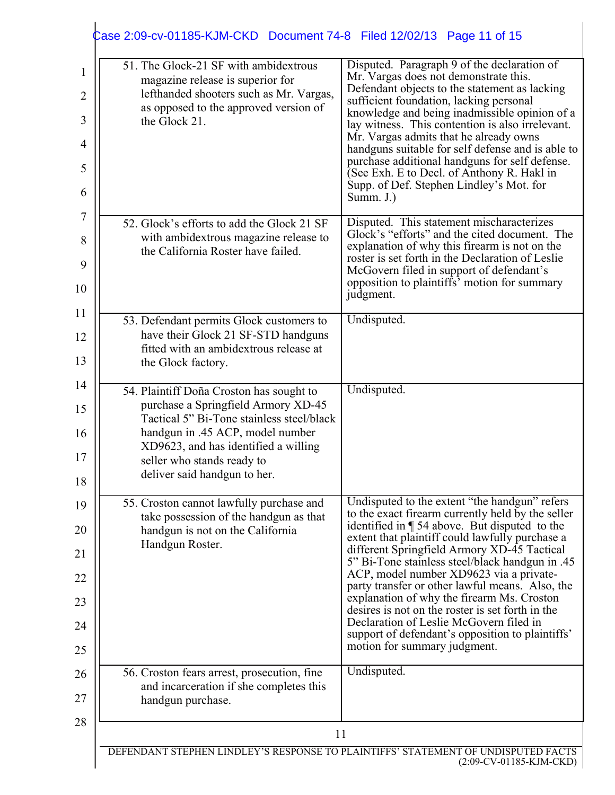| 51. The Glock-21 SF with ambidextrous<br>magazine release is superior for<br>lefthanded shooters such as Mr. Vargas,<br>as opposed to the approved version of<br>the Glock 21.                                                                                         | Disputed. Paragraph 9 of the declaration of<br>Mr. Vargas does not demonstrate this.<br>Defendant objects to the statement as lacking<br>sufficient foundation, lacking personal<br>knowledge and being inadmissible opinion of a<br>lay witness. This contention is also irrelevant.<br>Mr. Vargas admits that he already owns<br>handguns suitable for self defense and is able to<br>purchase additional handguns for self defense.<br>(See Exh. E to Decl. of Anthony R. Hakl in<br>Supp. of Def. Stephen Lindley's Mot. for<br>Summ. J.)                                                                                              |
|------------------------------------------------------------------------------------------------------------------------------------------------------------------------------------------------------------------------------------------------------------------------|--------------------------------------------------------------------------------------------------------------------------------------------------------------------------------------------------------------------------------------------------------------------------------------------------------------------------------------------------------------------------------------------------------------------------------------------------------------------------------------------------------------------------------------------------------------------------------------------------------------------------------------------|
| 52. Glock's efforts to add the Glock 21 SF<br>with ambidextrous magazine release to<br>the California Roster have failed.                                                                                                                                              | Disputed. This statement mischaracterizes<br>Glock's "efforts" and the cited document. The<br>explanation of why this firearm is not on the<br>roster is set forth in the Declaration of Leslie<br>McGovern filed in support of defendant's<br>opposition to plaintiffs' motion for summary<br>judgment.                                                                                                                                                                                                                                                                                                                                   |
| 53. Defendant permits Glock customers to<br>have their Glock 21 SF-STD handguns<br>fitted with an ambidextrous release at<br>the Glock factory.                                                                                                                        | Undisputed.                                                                                                                                                                                                                                                                                                                                                                                                                                                                                                                                                                                                                                |
| 54. Plaintiff Doña Croston has sought to<br>purchase a Springfield Armory XD-45<br>Tactical 5" Bi-Tone stainless steel/black<br>handgun in .45 ACP, model number<br>XD9623, and has identified a willing<br>seller who stands ready to<br>deliver said handgun to her. | Undisputed.                                                                                                                                                                                                                                                                                                                                                                                                                                                                                                                                                                                                                                |
| 55. Croston cannot lawfully purchase and<br>take possession of the handgun as that<br>handgun is not on the California<br>Handgun Roster.                                                                                                                              | Undisputed to the extent "the handgun" refers<br>to the exact firearm currently held by the seller<br>identified in $\P$ 54 above. But disputed to the<br>extent that plaintiff could lawfully purchase a<br>different Springfield Armory XD-45 Tactical<br>5" Bi-Tone stainless steel/black handgun in .45<br>ACP, model number XD9623 via a private-<br>party transfer or other lawful means. Also, the<br>explanation of why the firearm Ms. Croston<br>desires is not on the roster is set forth in the<br>Declaration of Leslie McGovern filed in<br>support of defendant's opposition to plaintiffs'<br>motion for summary judgment. |
| 56. Croston fears arrest, prosecution, fine<br>and incarceration if she completes this<br>handgun purchase.                                                                                                                                                            | Undisputed.                                                                                                                                                                                                                                                                                                                                                                                                                                                                                                                                                                                                                                |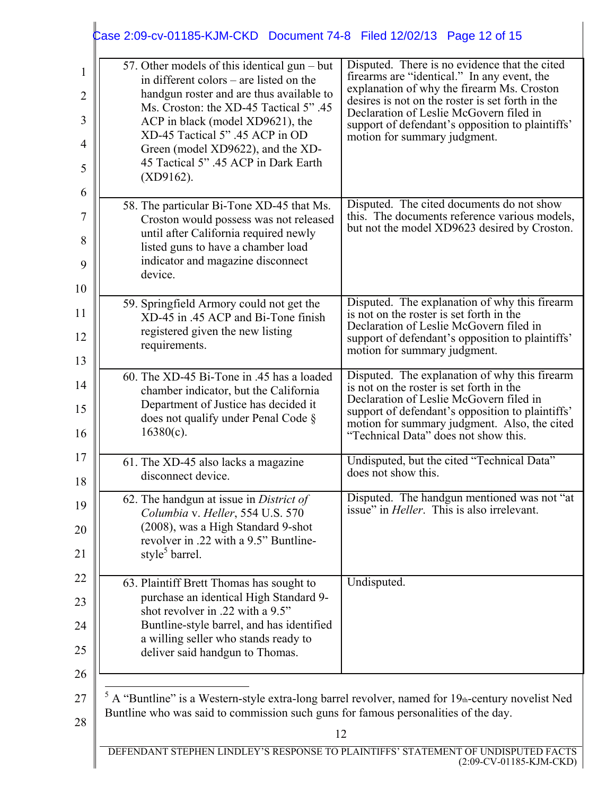| 57. Other models of this identical gun – but<br>in different colors – are listed on the<br>handgun roster and are thus available to<br>Ms. Croston: the XD-45 Tactical 5" .45<br>ACP in black (model XD9621), the<br>XD-45 Tactical 5" .45 ACP in OD<br>Green (model XD9622), and the XD-<br>45 Tactical 5" .45 ACP in Dark Earth<br>$(XD9162)$ . | Disputed. There is no evidence that the cited<br>firearms are "identical." In any event, the<br>explanation of why the firearm Ms. Croston<br>desires is not on the roster is set forth in the<br>Declaration of Leslie McGovern filed in<br>support of defendant's opposition to plaintiffs'<br>motion for summary judgment. |
|---------------------------------------------------------------------------------------------------------------------------------------------------------------------------------------------------------------------------------------------------------------------------------------------------------------------------------------------------|-------------------------------------------------------------------------------------------------------------------------------------------------------------------------------------------------------------------------------------------------------------------------------------------------------------------------------|
| 58. The particular Bi-Tone XD-45 that Ms.<br>Croston would possess was not released<br>until after California required newly<br>listed guns to have a chamber load<br>indicator and magazine disconnect<br>device.                                                                                                                                | Disputed. The cited documents do not show<br>this. The documents reference various models,<br>but not the model XD9623 desired by Croston.                                                                                                                                                                                    |
| 59. Springfield Armory could not get the<br>XD-45 in .45 ACP and Bi-Tone finish<br>registered given the new listing<br>requirements.                                                                                                                                                                                                              | Disputed. The explanation of why this firearm<br>is not on the roster is set forth in the<br>Declaration of Leslie McGovern filed in<br>support of defendant's opposition to plaintiffs'<br>motion for summary judgment.                                                                                                      |
| 60. The XD-45 Bi-Tone in .45 has a loaded<br>chamber indicator, but the California<br>Department of Justice has decided it<br>does not qualify under Penal Code §<br>$16380(c)$ .                                                                                                                                                                 | Disputed. The explanation of why this firearm<br>is not on the roster is set forth in the<br>Declaration of Leslie McGovern filed in<br>support of defendant's opposition to plaintiffs'<br>motion for summary judgment. Also, the cited<br>"Technical Data" does not show this.                                              |
| 61. The XD-45 also lacks a magazine<br>disconnect device.                                                                                                                                                                                                                                                                                         | Undisputed, but the cited "Technical Data"<br>does not show this.                                                                                                                                                                                                                                                             |
| 62. The handgun at issue in <i>District of</i><br>Columbia v. Heller, 554 U.S. 570<br>(2008), was a High Standard 9-shot<br>revolver in .22 with a 9.5" Buntline-<br>style <sup>5</sup> barrel.                                                                                                                                                   | Disputed. The handgun mentioned was not "at<br>issue" in <i>Heller</i> . This is also irrelevant.                                                                                                                                                                                                                             |
| 63. Plaintiff Brett Thomas has sought to<br>purchase an identical High Standard 9-<br>shot revolver in .22 with a 9.5"<br>Buntline-style barrel, and has identified<br>a willing seller who stands ready to<br>deliver said handgun to Thomas.                                                                                                    | Undisputed.                                                                                                                                                                                                                                                                                                                   |
| A "Buntline" is a Western-style extra-long barrel revolver, named for 19th-century novelist Ned<br>Buntline who was said to commission such guns for famous personalities of the day.                                                                                                                                                             |                                                                                                                                                                                                                                                                                                                               |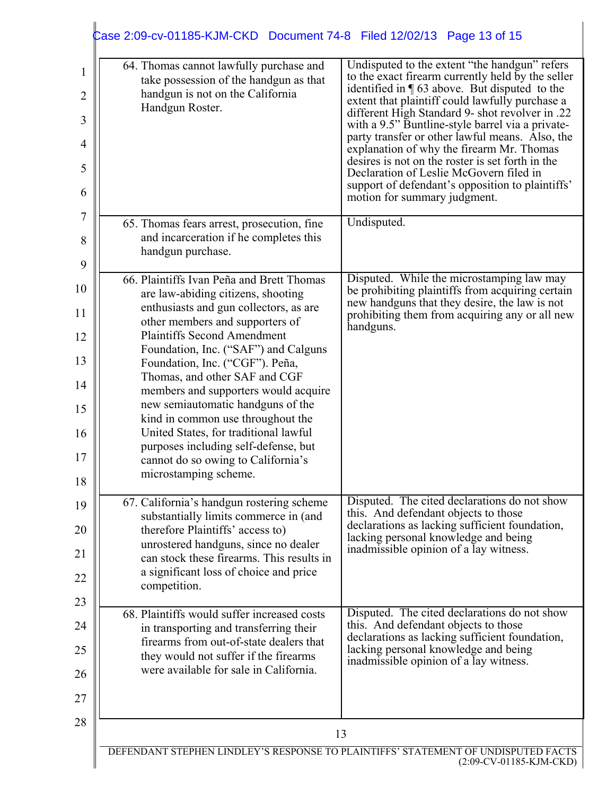| 64. Thomas cannot lawfully purchase and<br>take possession of the handgun as that<br>handgun is not on the California<br>Handgun Roster.                                                                                                                              | Undisputed to the extent "the handgun" refers<br>to the exact firearm currently held by the seller<br>identified in $\P$ 63 above. But disputed to the<br>extent that plaintiff could lawfully purchase a<br>different High Standard 9- shot revolver in .22<br>with a 9.5" Buntline-style barrel via a private-<br>party transfer or other lawful means. Also, the<br>explanation of why the firearm Mr. Thomas<br>desires is not on the roster is set forth in the<br>Declaration of Leslie McGovern filed in<br>support of defendant's opposition to plaintiffs'<br>motion for summary judgment. |
|-----------------------------------------------------------------------------------------------------------------------------------------------------------------------------------------------------------------------------------------------------------------------|-----------------------------------------------------------------------------------------------------------------------------------------------------------------------------------------------------------------------------------------------------------------------------------------------------------------------------------------------------------------------------------------------------------------------------------------------------------------------------------------------------------------------------------------------------------------------------------------------------|
| 65. Thomas fears arrest, prosecution, fine                                                                                                                                                                                                                            | Undisputed.                                                                                                                                                                                                                                                                                                                                                                                                                                                                                                                                                                                         |
| and incarceration if he completes this<br>handgun purchase.                                                                                                                                                                                                           |                                                                                                                                                                                                                                                                                                                                                                                                                                                                                                                                                                                                     |
| 66. Plaintiffs Ivan Peña and Brett Thomas<br>are law-abiding citizens, shooting<br>enthusiasts and gun collectors, as are<br>other members and supporters of                                                                                                          | Disputed. While the microstamping law may<br>be prohibiting plaintiffs from acquiring certain<br>new handguns that they desire, the law is not<br>prohibiting them from acquiring any or all new<br>handguns.                                                                                                                                                                                                                                                                                                                                                                                       |
| <b>Plaintiffs Second Amendment</b><br>Foundation, Inc. ("SAF") and Calguns<br>Foundation, Inc. ("CGF"). Peña,<br>Thomas, and other SAF and CGF<br>members and supporters would acquire                                                                                |                                                                                                                                                                                                                                                                                                                                                                                                                                                                                                                                                                                                     |
| new semiautomatic handguns of the<br>kind in common use throughout the<br>United States, for traditional lawful<br>purposes including self-defense, but<br>cannot do so owing to California's<br>microstamping scheme.                                                |                                                                                                                                                                                                                                                                                                                                                                                                                                                                                                                                                                                                     |
| 67. California's handgun rostering scheme<br>substantially limits commerce in (and<br>therefore Plaintiffs' access to)<br>unrostered handguns, since no dealer<br>can stock these firearms. This results in<br>a significant loss of choice and price<br>competition. | Disputed. The cited declarations do not show<br>this. And defendant objects to those<br>declarations as lacking sufficient foundation,<br>lacking personal knowledge and being<br>inadmissible opinion of a lay witness.                                                                                                                                                                                                                                                                                                                                                                            |
| 68. Plaintiffs would suffer increased costs<br>in transporting and transferring their<br>firearms from out-of-state dealers that<br>they would not suffer if the firearms<br>were available for sale in California.                                                   | Disputed. The cited declarations do not show<br>this. And defendant objects to those<br>declarations as lacking sufficient foundation,<br>lacking personal knowledge and being<br>inadmissible opinion of a lay witness.                                                                                                                                                                                                                                                                                                                                                                            |
|                                                                                                                                                                                                                                                                       |                                                                                                                                                                                                                                                                                                                                                                                                                                                                                                                                                                                                     |
| 13                                                                                                                                                                                                                                                                    |                                                                                                                                                                                                                                                                                                                                                                                                                                                                                                                                                                                                     |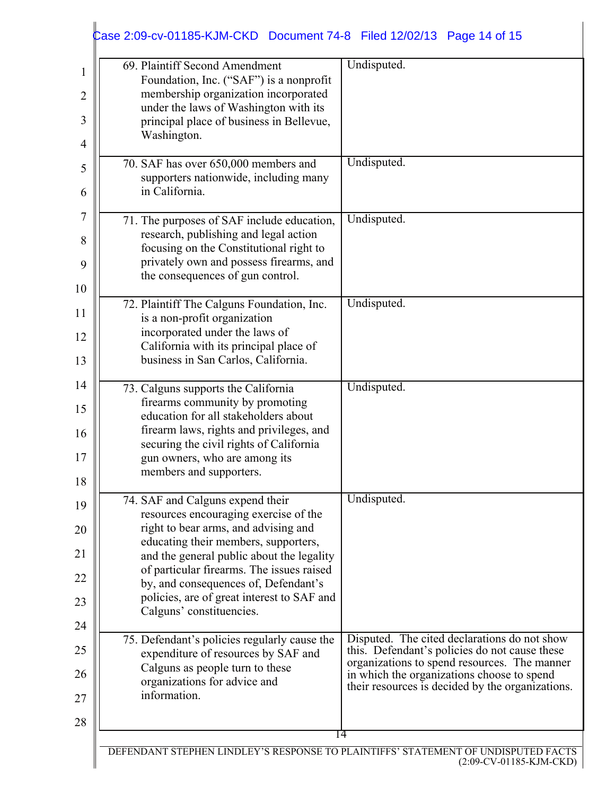| 69. Plaintiff Second Amendment                                                      | Undisputed.                                                                                    |
|-------------------------------------------------------------------------------------|------------------------------------------------------------------------------------------------|
| Foundation, Inc. ("SAF") is a nonprofit                                             |                                                                                                |
| membership organization incorporated                                                |                                                                                                |
| under the laws of Washington with its<br>principal place of business in Bellevue,   |                                                                                                |
| Washington.                                                                         |                                                                                                |
|                                                                                     |                                                                                                |
| 70. SAF has over 650,000 members and                                                | Undisputed.                                                                                    |
| supporters nationwide, including many<br>in California.                             |                                                                                                |
|                                                                                     |                                                                                                |
| 71. The purposes of SAF include education,                                          | Undisputed.                                                                                    |
| research, publishing and legal action<br>focusing on the Constitutional right to    |                                                                                                |
| privately own and possess firearms, and                                             |                                                                                                |
| the consequences of gun control.                                                    |                                                                                                |
| 72. Plaintiff The Calguns Foundation, Inc.                                          | Undisputed.                                                                                    |
| is a non-profit organization                                                        |                                                                                                |
| incorporated under the laws of                                                      |                                                                                                |
| California with its principal place of                                              |                                                                                                |
| business in San Carlos, California.                                                 |                                                                                                |
| 73. Calguns supports the California                                                 | Undisputed.                                                                                    |
| firearms community by promoting                                                     |                                                                                                |
| education for all stakeholders about<br>firearm laws, rights and privileges, and    |                                                                                                |
| securing the civil rights of California                                             |                                                                                                |
| gun owners, who are among its                                                       |                                                                                                |
| members and supporters.                                                             |                                                                                                |
| 74. SAF and Calguns expend their                                                    | Undisputed.                                                                                    |
| resources encouraging exercise of the                                               |                                                                                                |
| right to bear arms, and advising and<br>educating their members, supporters,        |                                                                                                |
| and the general public about the legality                                           |                                                                                                |
| of particular firearms. The issues raised                                           |                                                                                                |
| by, and consequences of, Defendant's<br>policies, are of great interest to SAF and  |                                                                                                |
| Calguns' constituencies.                                                            |                                                                                                |
|                                                                                     |                                                                                                |
| 75. Defendant's policies regularly cause the<br>expenditure of resources by SAF and | Disputed. The cited declarations do not show<br>this. Defendant's policies do not cause these  |
| Calguns as people turn to these                                                     | organizations to spend resources. The manner                                                   |
| organizations for advice and                                                        | in which the organizations choose to spend<br>their resources is decided by the organizations. |
| information.                                                                        |                                                                                                |
|                                                                                     |                                                                                                |
|                                                                                     | 14                                                                                             |